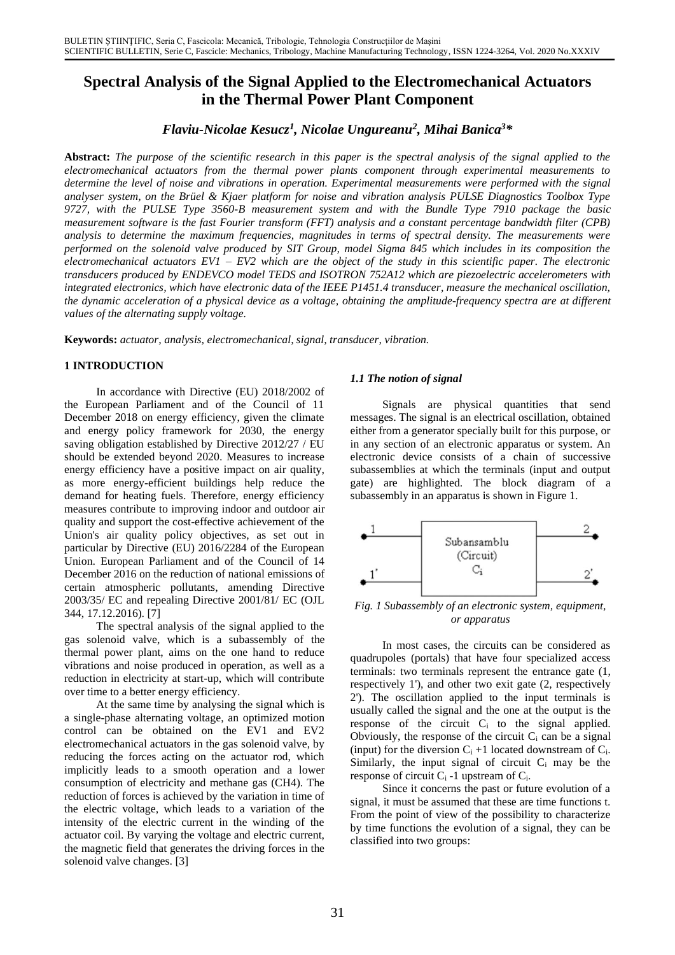# **Spectral Analysis of the Signal Applied to the Electromechanical Actuators in the Thermal Power Plant Component**

*Flaviu-Nicolae Kesucz<sup>1</sup> , Nicolae Ungureanu<sup>2</sup> , Mihai Banica 3\**

**Abstract:** *The purpose of the scientific research in this paper is the spectral analysis of the signal applied to the electromechanical actuators from the thermal power plants component through experimental measurements to determine the level of noise and vibrations in operation. Experimental measurements were performed with the signal analyser system, on the Brüel & Kjaer platform for noise and vibration analysis PULSE Diagnostics Toolbox Type 9727, with the PULSE Type 3560-B measurement system and with the Bundle Type 7910 package the basic measurement software is the fast Fourier transform (FFT) analysis and a constant percentage bandwidth filter (CPB) analysis to determine the maximum frequencies, magnitudes in terms of spectral density. The measurements were performed on the solenoid valve produced by SIT Group, model Sigma 845 which includes in its composition the electromechanical actuators EV1 – EV2 which are the object of the study in this scientific paper. The electronic transducers produced by ENDEVCO model TEDS and ISOTRON 752A12 which are piezoelectric accelerometers with integrated electronics, which have electronic data of the IEEE P1451.4 transducer, measure the mechanical oscillation, the dynamic acceleration of a physical device as a voltage, obtaining the amplitude-frequency spectra are at different values of the alternating supply voltage.*

**Keywords:** *actuator, analysis, electromechanical, signal, transducer, vibration.*

## **1 INTRODUCTION**

In accordance with Directive (EU) 2018/2002 of the European Parliament and of the Council of 11 December 2018 on energy efficiency, given the climate and energy policy framework for 2030, the energy saving obligation established by Directive 2012/27 / EU should be extended beyond 2020. Measures to increase energy efficiency have a positive impact on air quality, as more energy-efficient buildings help reduce the demand for heating fuels. Therefore, energy efficiency measures contribute to improving indoor and outdoor air quality and support the cost-effective achievement of the Union's air quality policy objectives, as set out in particular by Directive (EU) 2016/2284 of the European Union. European Parliament and of the Council of 14 December 2016 on the reduction of national emissions of certain atmospheric pollutants, amending Directive 2003/35/ EC and repealing Directive 2001/81/ EC (OJL 344, 17.12.2016). [7]

*or apparatus* The spectral analysis of the signal applied to the gas solenoid valve, which is a subassembly of the thermal power plant, aims on the one hand to reduce vibrations and noise produced in operation, as well as a reduction in electricity at start-up, which will contribute over time to a better energy efficiency.

At the same time by analysing the signal which is a single-phase alternating voltage, an optimized motion control can be obtained on the EV1 and EV2 electromechanical actuators in the gas solenoid valve, by reducing the forces acting on the actuator rod, which implicitly leads to a smooth operation and a lower consumption of electricity and methane gas (CH4). The reduction of forces is achieved by the variation in time of the electric voltage, which leads to a variation of the intensity of the electric current in the winding of the actuator coil. By varying the voltage and electric current, the magnetic field that generates the driving forces in the solenoid valve changes. [3]

## *1.1 The notion of signal*

Signals are physical quantities that send messages. The signal is an electrical oscillation, obtained either from a generator specially built for this purpose, or in any section of an electronic apparatus or system. An electronic device consists of a chain of successive subassemblies at which the terminals (input and output gate) are highlighted. The block diagram of a subassembly in an apparatus is shown in Figure 1.



*Fig. 1 Subassembly of an electronic system, equipment,*

In most cases, the circuits can be considered as quadrupoles (portals) that have four specialized access terminals: two terminals represent the entrance gate (1, respectively 1'), and other two exit gate (2, respectively 2'). The oscillation applied to the input terminals is usually called the signal and the one at the output is the response of the circuit  $C_i$  to the signal applied. Obviously, the response of the circuit  $C_i$  can be a signal (input) for the diversion  $C_i +1$  located downstream of  $C_i$ . Similarly, the input signal of circuit  $C_i$  may be the response of circuit  $C_i$  -1 upstream of  $C_i$ .

Since it concerns the past or future evolution of a signal, it must be assumed that these are time functions t. From the point of view of the possibility to characterize by time functions the evolution of a signal, they can be classified into two groups: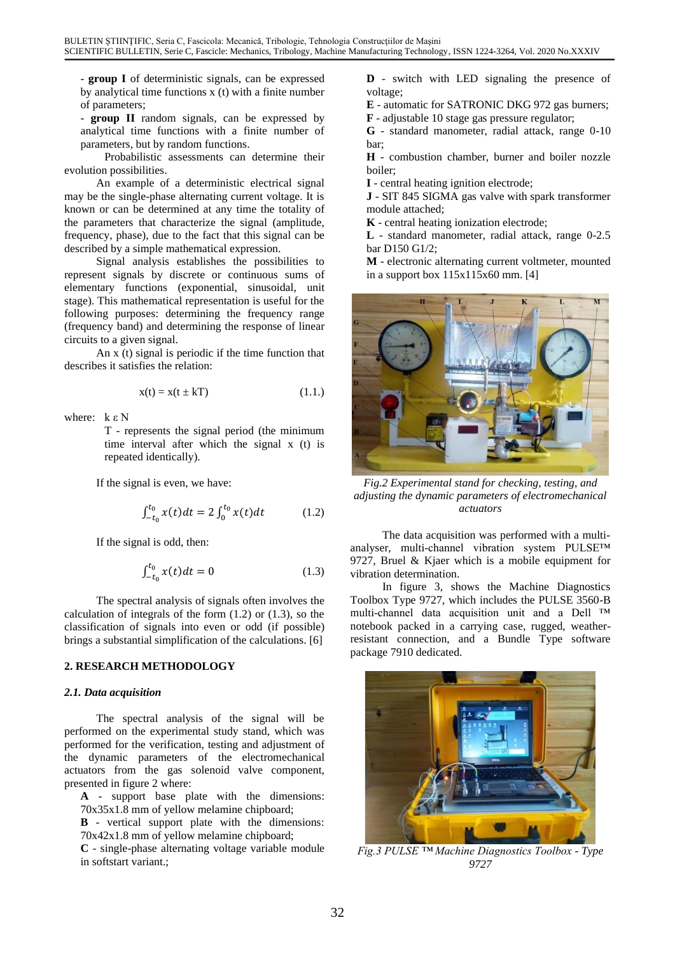- **group I** of deterministic signals, can be expressed by analytical time functions x (t) with a finite number of parameters;

- **group II** random signals, can be expressed by analytical time functions with a finite number of parameters, but by random functions.

Probabilistic assessments can determine their evolution possibilities.

An example of a deterministic electrical signal may be the single-phase alternating current voltage. It is known or can be determined at any time the totality of the parameters that characterize the signal (amplitude, frequency, phase), due to the fact that this signal can be described by a simple mathematical expression.

Signal analysis establishes the possibilities to represent signals by discrete or continuous sums of elementary functions (exponential, sinusoidal, unit stage). This mathematical representation is useful for the following purposes: determining the frequency range (frequency band) and determining the response of linear circuits to a given signal.

An  $\bar{x}$  (t) signal is periodic if the time function that describes it satisfies the relation:

$$
x(t) = x(t \pm kT) \tag{1.1.}
$$

where:  $k \in N$ 

T - represents the signal period (the minimum time interval after which the signal x (t) is repeated identically).

If the signal is even, we have:

$$
\int_{-t_0}^{t_0} x(t)dt = 2 \int_0^{t_0} x(t)dt \tag{1.2}
$$

If the signal is odd, then:

$$
\int_{-t_0}^{t_0} x(t)dt = 0 \tag{1.3}
$$

The spectral analysis of signals often involves the calculation of integrals of the form  $(1.2)$  or  $(1.3)$ , so the classification of signals into even or odd (if possible) brings a substantial simplification of the calculations. [6]

#### **2. RESEARCH METHODOLOGY**

#### *2.1. Data acquisition*

The spectral analysis of the signal will be performed on the experimental study stand, which was performed for the verification, testing and adjustment of the dynamic parameters of the electromechanical actuators from the gas solenoid valve component, presented in figure 2 where:

**A** - support base plate with the dimensions: 70x35x1.8 mm of yellow melamine chipboard;

**B** - vertical support plate with the dimensions: 70x42x1.8 mm of yellow melamine chipboard;

**C** - single-phase alternating voltage variable module in softstart variant.;

**D** - switch with LED signaling the presence of voltage;

**E** - automatic for SATRONIC DKG 972 gas burners;

**F** - adjustable 10 stage gas pressure regulator;

**G** - standard manometer, radial attack, range 0-10 bar;

**H** - combustion chamber, burner and boiler nozzle boiler;

**I** - central heating ignition electrode;

**J** - SIT 845 SIGMA gas valve with spark transformer module attached;

**K** - central heating ionization electrode;

**L** - standard manometer, radial attack, range 0-2.5 bar D150 G1/2;

**M** - electronic alternating current voltmeter, mounted in a support box 115x115x60 mm. [4]



*Fig.2 Experimental stand for checking, testing, and adjusting the dynamic parameters of electromechanical actuators*

The data acquisition was performed with a multianalyser, multi-channel vibration system PULSE™ 9727, Bruel & Kjaer which is a mobile equipment for vibration determination.

In figure 3, shows the Machine Diagnostics Toolbox Type 9727, which includes the PULSE 3560-B multi-channel data acquisition unit and a Dell ™ notebook packed in a carrying case, rugged, weatherresistant connection, and a Bundle Type software package 7910 dedicated.



*Fig.3 PULSE ™ Machine Diagnostics Toolbox - Type 9727*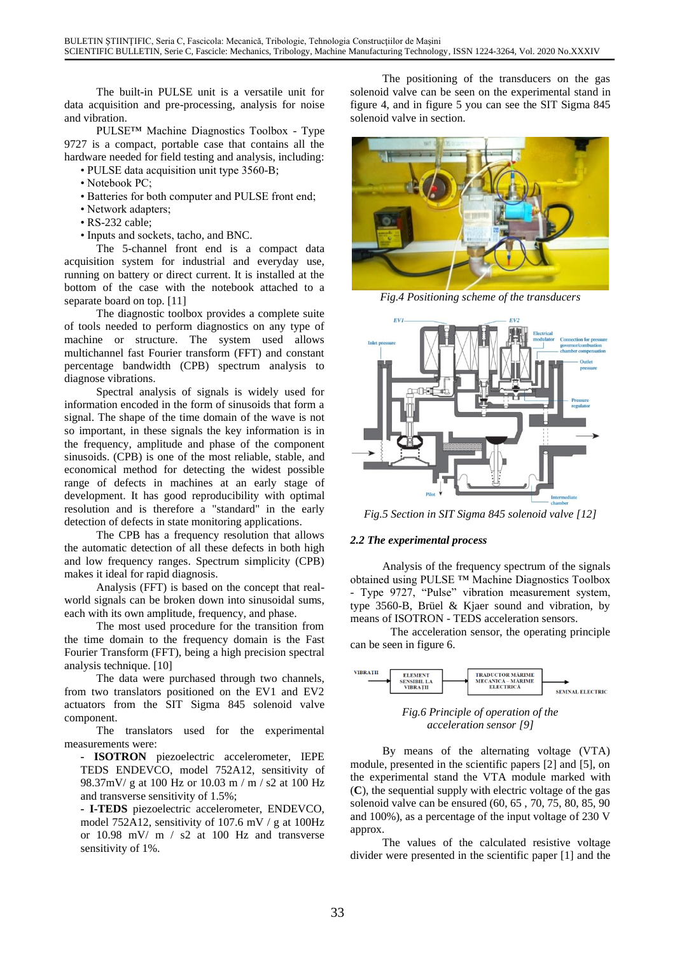The built-in PULSE unit is a versatile unit for data acquisition and pre-processing, analysis for noise and vibration.

PULSE™ Machine Diagnostics Toolbox - Type 9727 is a compact, portable case that contains all the hardware needed for field testing and analysis, including: • PULSE data acquisition unit type 3560-B;

- Notebook PC;
- Batteries for both computer and PULSE front end;
- Network adapters;
- RS-232 cable;
- Inputs and sockets, tacho, and BNC.

The 5-channel front end is a compact data acquisition system for industrial and everyday use, running on battery or direct current. It is installed at the bottom of the case with the notebook attached to a separate board on top. [11] *Fig.4 Positioning scheme of the transducers*

The diagnostic toolbox provides a complete suite of tools needed to perform diagnostics on any type of machine or structure. The system used allows multichannel fast Fourier transform (FFT) and constant percentage bandwidth (CPB) spectrum analysis to diagnose vibrations.

Spectral analysis of signals is widely used for information encoded in the form of sinusoids that form a signal. The shape of the time domain of the wave is not so important, in these signals the key information is in the frequency, amplitude and phase of the component sinusoids. (CPB) is one of the most reliable, stable, and economical method for detecting the widest possible range of defects in machines at an early stage of development. It has good reproducibility with optimal resolution and is therefore a "standard" in the early resolution and is therefore a standard in the early *Fig.5 Section in SIT Sigma 845 solenoid valve [12]* detection of defects in state monitoring applications.

The CPB has a frequency resolution that allows the automatic detection of all these defects in both high and low frequency ranges. Spectrum simplicity (CPB) makes it ideal for rapid diagnosis.

Analysis (FFT) is based on the concept that realworld signals can be broken down into sinusoidal sums, each with its own amplitude, frequency, and phase.

The most used procedure for the transition from the time domain to the frequency domain is the Fast Fourier Transform (FFT), being a high precision spectral analysis technique. [10]

The data were purchased through two channels, from two translators positioned on the EV1 and EV2 actuators from the SIT Sigma 845 solenoid valve component.<br> **Fig.6 Principle of operation of the**<br> **Fig.6 Principle of operation of the**<br> **Fig.6 Principle of operation of the**<br> **CONFIGENCE** 

The translators used for the experimental

**- ISOTRON** piezoelectric accelerometer, IEPE TEDS ENDEVCO, model 752A12, sensitivity of 98.37mV/ g at 100 Hz or 10.03 m / m / s2 at 100 Hz and transverse sensitivity of 1.5%;

**- I-TEDS** piezoelectric accelerometer, ENDEVCO, model 752A12, sensitivity of 107.6 mV / g at 100Hz or 10.98 mV/ m / s2 at 100 Hz and transverse

The positioning of the transducers on the gas solenoid valve can be seen on the experimental stand in figure 4, and in figure 5 you can see the SIT Sigma 845 solenoid valve in section.





#### *2.2 The experimental process*

Analysis of the frequency spectrum of the signals obtained using PULSE ™ Machine Diagnostics Toolbox - Type 9727, "Pulse" vibration measurement system, type 3560-B, Brüel & Kjaer sound and vibration, by means of ISOTRON - TEDS acceleration sensors.

The acceleration sensor, the operating principle can be seen in figure 6.





measurements were:<br> **EXECUTION** module, presented in the scientific papers [2] and [5], on the experimental stand the VTA module marked with (**C**), the sequential supply with electric voltage of the gas solenoid valve can be ensured (60, 65 , 70, 75, 80, 85, 90 and 100%), as a percentage of the input voltage of 230 V approx.

 $\frac{1}{2}$  set the values of the calculated resistive voltage sensitivity of 1%. divider were presented in the scientific paper [1] and the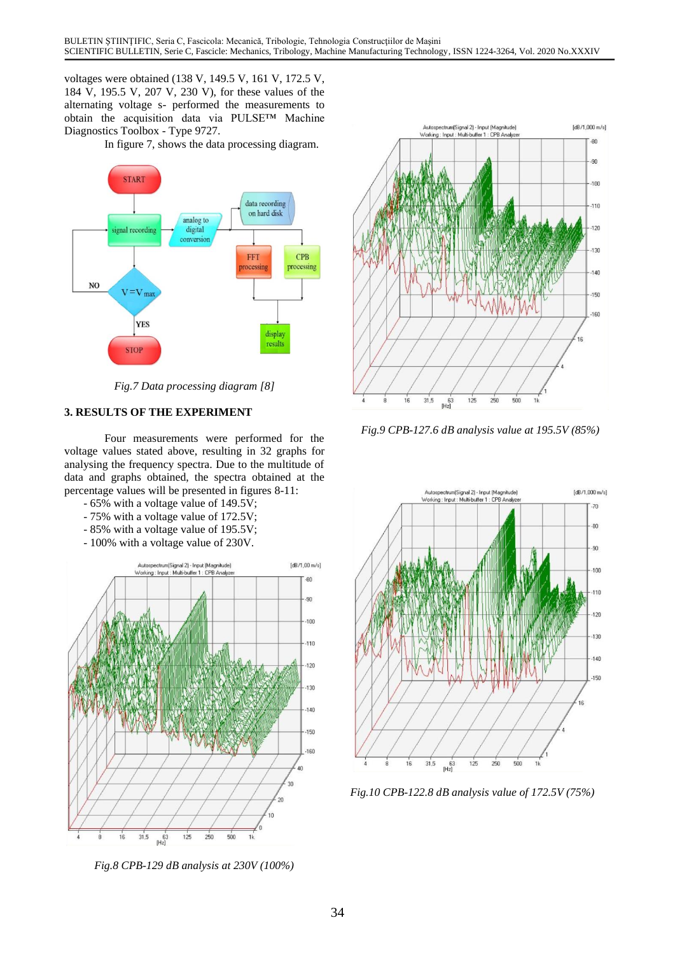voltages were obtained (138 V, 149.5 V, 161 V, 172.5 V, 184 V, 195.5 V, 207 V, 230 V), for these values of the alternating voltage s- performed the measurements to obtain the acquisition data via PULSE™ Machine Diagnostics Toolbox - Type 9727.

In figure 7, shows the data processing diagram.



*Fig.7 Data processing diagram [8]*

#### **3. RESULTS OF THE EXPERIMENT**

Four measurements were performed for the voltage values stated above, resulting in 32 graphs for analysing the frequency spectra. Due to the multitude of data and graphs obtained, the spectra obtained at the percentage values will be presented in figures 8-11:

- 65% with a voltage value of 149.5V;
- 75% with a voltage value of 172.5V;
- 85% with a voltage value of 195.5V;
- 100% with a voltage value of 230V.



*Fig.8 CPB-129 dB analysis at 230V (100%)*



*Fig.9 CPB-127.6 dB analysis value at 195.5V (85%)*



*Fig.10 CPB-122.8 dB analysis value of 172.5V (75%)*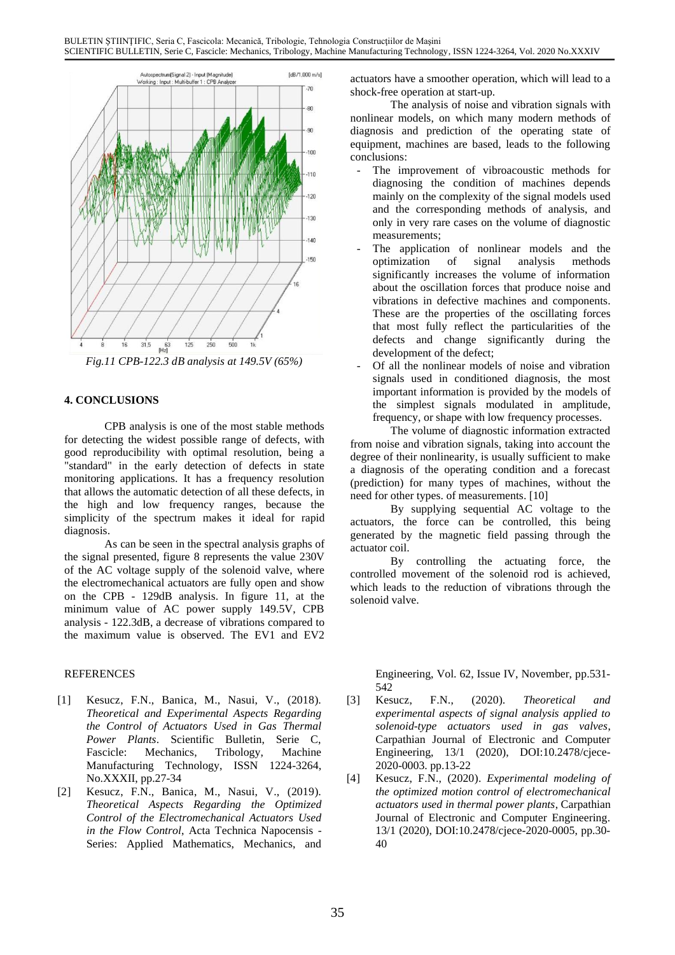

*Fig.11 CPB-122.3 dB analysis at 149.5V (65%)*

## **4. CONCLUSIONS**

CPB analysis is one of the most stable methods for detecting the widest possible range of defects, with good reproducibility with optimal resolution, being a "standard" in the early detection of defects in state monitoring applications. It has a frequency resolution that allows the automatic detection of all these defects, in the high and low frequency ranges, because the simplicity of the spectrum makes it ideal for rapid diagnosis.

As can be seen in the spectral analysis graphs of  $\frac{\text{generated by}}{\text{actualor}}$ the signal presented, figure 8 represents the value 230V of the AC voltage supply of the solenoid valve, where the electromechanical actuators are fully open and show on the CPB - 129dB analysis. In figure 11, at the minimum value of AC power supply 149.5V, CPB analysis - 122.3dB, a decrease of vibrations compared to the maximum value is observed. The EV1 and EV2

- [1] Kesucz, F.N., Banica, M., Nasui, V., (2018). *Theoretical and Experimental Aspects Regarding the Control of Actuators Used in Gas Thermal Power Plants*. Scientific Bulletin, Serie C, Fascicle: Mechanics, Tribology, Machine Manufacturing Technology, ISSN 1224-3264, No.XXXII, pp.27-34
- [2] Kesucz, F.N., Banica, M., Nasui, V., (2019). *Theoretical Aspects Regarding the Optimized Control of the Electromechanical Actuators Used in the Flow Control*, Acta Technica Napocensis - Series: Applied Mathematics, Mechanics, and

actuators have a smoother operation, which will lead to a shock-free operation at start-up.

The analysis of noise and vibration signals with nonlinear models, on which many modern methods of diagnosis and prediction of the operating state of equipment, machines are based, leads to the following conclusions:

- The improvement of vibroacoustic methods for diagnosing the condition of machines depends mainly on the complexity of the signal models used and the corresponding methods of analysis, and only in very rare cases on the volume of diagnostic measurements;
- The application of nonlinear models and the optimization of signal analysis methods significantly increases the volume of information about the oscillation forces that produce noise and vibrations in defective machines and components. These are the properties of the oscillating forces that most fully reflect the particularities of the defects and change significantly during the development of the defect;
- Of all the nonlinear models of noise and vibration signals used in conditioned diagnosis, the most important information is provided by the models of the simplest signals modulated in amplitude, frequency, or shape with low frequency processes.

The volume of diagnostic information extracted from noise and vibration signals, taking into account the degree of their nonlinearity, is usually sufficient to make a diagnosis of the operating condition and a forecast (prediction) for many types of machines, without the need for other types. of measurements. [10]

By supplying sequential AC voltage to the actuators, the force can be controlled, this being generated by the magnetic field passing through the

By controlling the actuating force, the controlled movement of the solenoid rod is achieved, which leads to the reduction of vibrations through the solenoid valve.

REFERENCES Engineering, Vol. 62, Issue IV, November, pp.531-542

- [3] Kesucz, F.N., (2020). *Theoretical and experimental aspects of signal analysis applied to solenoid-type actuators used in gas valves*, Carpathian Journal of Electronic and Computer Engineering, 13/1 (2020), DOI:10.2478/cjece-2020-0003. pp.13-22
- [4] Kesucz, F.N., (2020). *Experimental modeling of the optimized motion control of electromechanical actuators used in thermal power plants*, Carpathian Journal of Electronic and Computer Engineering. 13/1 (2020), DOI:10.2478/cjece-2020-0005, pp.30- 40